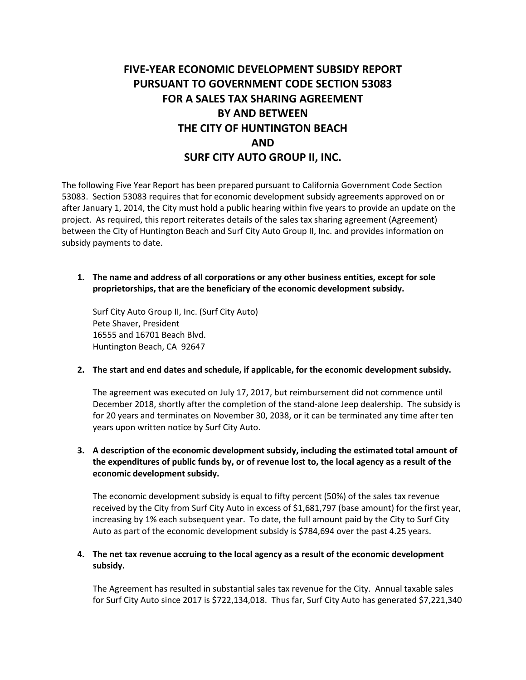# **FIVE-YEAR ECONOMIC DEVELOPMENT SUBSIDY REPORT PURSUANT TO GOVERNMENT CODE SECTION 53083 FOR A SALES TAX SHARING AGREEMENT BY AND BETWEEN THE CITY OF HUNTINGTON BEACH AND SURF CITY AUTO GROUP II, INC.**

The following Five Year Report has been prepared pursuant to California Government Code Section 53083. Section 53083 requires that for economic development subsidy agreements approved on or after January 1, 2014, the City must hold a public hearing within five years to provide an update on the project. As required, this report reiterates details of the sales tax sharing agreement (Agreement) between the City of Huntington Beach and Surf City Auto Group II, Inc. and provides information on subsidy payments to date.

**1. The name and address of all corporations or any other business entities, except for sole proprietorships, that are the beneficiary of the economic development subsidy.**

Surf City Auto Group II, Inc. (Surf City Auto) Pete Shaver, President 16555 and 16701 Beach Blvd. Huntington Beach, CA 92647

#### **2. The start and end dates and schedule, if applicable, for the economic development subsidy.**

The agreement was executed on July 17, 2017, but reimbursement did not commence until December 2018, shortly after the completion of the stand-alone Jeep dealership. The subsidy is for 20 years and terminates on November 30, 2038, or it can be terminated any time after ten years upon written notice by Surf City Auto.

### **3. A description of the economic development subsidy, including the estimated total amount of the expenditures of public funds by, or of revenue lost to, the local agency as a result of the economic development subsidy.**

The economic development subsidy is equal to fifty percent (50%) of the sales tax revenue received by the City from Surf City Auto in excess of \$1,681,797 (base amount) for the first year, increasing by 1% each subsequent year. To date, the full amount paid by the City to Surf City Auto as part of the economic development subsidy is \$784,694 over the past 4.25 years.

#### **4. The net tax revenue accruing to the local agency as a result of the economic development subsidy.**

The Agreement has resulted in substantial sales tax revenue for the City. Annual taxable sales for Surf City Auto since 2017 is \$722,134,018. Thus far, Surf City Auto has generated \$7,221,340